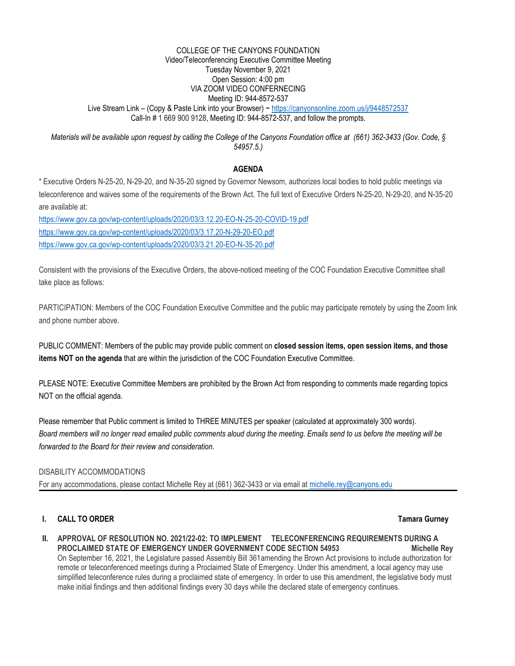#### COLLEGE OF THE CANYONS FOUNDATION Video/Teleconferencing Executive Committee Meeting Tuesday November 9, 2021 Open Session: 4:00 pm VIA ZOOM VIDEO CONFERNECING Meeting ID: 944-8572-537 Live Stream Link – (Copy & Paste Link into your Browser) ~<https://canyonsonline.zoom.us/j/9448572537> Call-In # 1 669 900 9128, Meeting ID: 944-8572-537, and follow the prompts.

*Materials will be available upon request by calling the College of the Canyons Foundation office at (661) 362-3433 (Gov. Code, § 54957.5.)*

# **AGENDA**

\* Executive Orders N-25-20, N-29-20, and N-35-20 signed by Governor Newsom, authorizes local bodies to hold public meetings via teleconference and waives some of the requirements of the Brown Act. The full text of Executive Orders N-25-20, N-29-20, and N-35-20 are available at:

<https://www.gov.ca.gov/wp-content/uploads/2020/03/3.12.20-EO-N-25-20-COVID-19.pdf> <https://www.gov.ca.gov/wp-content/uploads/2020/03/3.17.20-N-29-20-EO.pdf> <https://www.gov.ca.gov/wp-content/uploads/2020/03/3.21.20-EO-N-35-20.pdf>

Consistent with the provisions of the Executive Orders, the above-noticed meeting of the COC Foundation Executive Committee shall take place as follows:

PARTICIPATION: Members of the COC Foundation Executive Committee and the public may participate remotely by using the Zoom link and phone number above.

PUBLIC COMMENT: Members of the public may provide public comment on **closed session items, open session items, and those items NOT on the agenda** that are within the jurisdiction of the COC Foundation Executive Committee.

PLEASE NOTE: Executive Committee Members are prohibited by the Brown Act from responding to comments made regarding topics NOT on the official agenda.

Please remember that Public comment is limited to THREE MINUTES per speaker (calculated at approximately 300 words). *Board members will no longer read emailed public comments aloud during the meeting. Emails send to us before the meeting will be forwarded to the Board for their review and consideration.*

### DISABILITY ACCOMMODATIONS

For any accommodations, please contact Michelle Rey at (661) 362-3433 or via email at [michelle.rey@canyons.edu](mailto:michelle.rey@canyons.edu)

# **I. CALL TO ORDER Tamara Gurney**

**II. APPROVAL OF RESOLUTION NO. 2021/22-02: TO IMPLEMENT TELECONFERENCING REQUIREMENTS DURING A PROCLAIMED STATE OF EMERGENCY UNDER GOVERNMENT CODE SECTION 54953 Michelle Rev** On September 16, 2021, the Legislature passed Assembly Bill 361amending the Brown Act provisions to include authorization for remote or teleconferenced meetings during a Proclaimed State of Emergency. Under this amendment, a local agency may use simplified teleconference rules during a proclaimed state of emergency. In order to use this amendment, the legislative body must make initial findings and then additional findings every 30 days while the declared state of emergency continues.